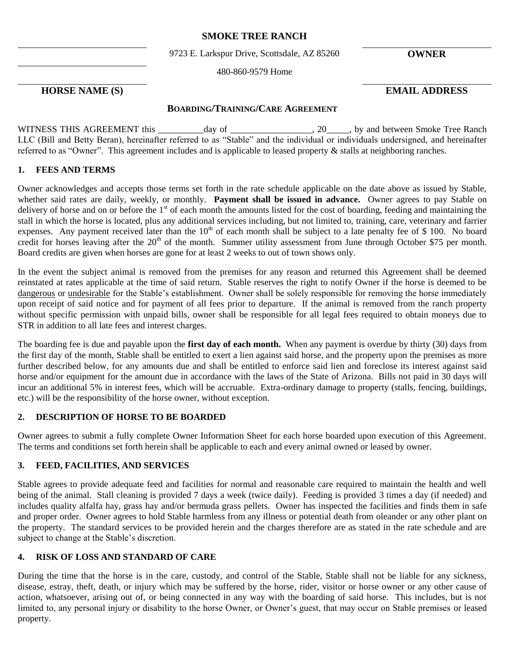## **SMOKE TREE RANCH**

9723 E. Larkspur Drive, Scottsdale, AZ 85260 **OWNER**

480-860-9579 Home

# **HORSE NAME (S) EMAIL ADDRESS**

## **BOARDING/TRAINING/CARE AGREEMENT**

WITNESS THIS AGREEMENT this day of  $\qquad \qquad$  . 20  $\qquad$ , by and between Smoke Tree Ranch LLC (Bill and Betty Beran), hereinafter referred to as "Stable" and the individual or individuals undersigned, and hereinafter referred to as "Owner". This agreement includes and is applicable to leased property & stalls at neighboring ranches.

## **1. FEES AND TERMS**

Owner acknowledges and accepts those terms set forth in the rate schedule applicable on the date above as issued by Stable, whether said rates are daily, weekly, or monthly. **Payment shall be issued in advance.** Owner agrees to pay Stable on delivery of horse and on or before the 1<sup>st</sup> of each month the amounts listed for the cost of boarding, feeding and maintaining the stall in which the horse is located, plus any additional services including, but not limited to, training, care, veterinary and farrier expenses. Any payment received later than the 10<sup>th</sup> of each month shall be subject to a late penalty fee of \$ 100. No board credit for horses leaving after the 20<sup>th</sup> of the month. Summer utility assessment from June through October \$75 per month. Board credits are given when horses are gone for at least 2 weeks to out of town shows only.

In the event the subject animal is removed from the premises for any reason and returned this Agreement shall be deemed reinstated at rates applicable at the time of said return. Stable reserves the right to notify Owner if the horse is deemed to be dangerous or undesirable for the Stable's establishment. Owner shall be solely responsible for removing the horse immediately upon receipt of said notice and for payment of all fees prior to departure. If the animal is removed from the ranch property without specific permission with unpaid bills, owner shall be responsible for all legal fees required to obtain moneys due to STR in addition to all late fees and interest charges.

The boarding fee is due and payable upon the **first day of each month.** When any payment is overdue by thirty (30) days from the first day of the month, Stable shall be entitled to exert a lien against said horse, and the property upon the premises as more further described below, for any amounts due and shall be entitled to enforce said lien and foreclose its interest against said horse and/or equipment for the amount due in accordance with the laws of the State of Arizona. Bills not paid in 30 days will incur an additional 5% in interest fees, which will be accruable. Extra-ordinary damage to property (stalls, fencing, buildings, etc.) will be the responsibility of the horse owner, without exception.

## **2. DESCRIPTION OF HORSE TO BE BOARDED**

Owner agrees to submit a fully complete Owner Information Sheet for each horse boarded upon execution of this Agreement. The terms and conditions set forth herein shall be applicable to each and every animal owned or leased by owner.

## **3. FEED, FACILITIES, AND SERVICES**

Stable agrees to provide adequate feed and facilities for normal and reasonable care required to maintain the health and well being of the animal. Stall cleaning is provided 7 days a week (twice daily). Feeding is provided 3 times a day (if needed) and includes quality alfalfa hay, grass hay and/or bermuda grass pellets. Owner has inspected the facilities and finds them in safe and proper order. Owner agrees to hold Stable harmless from any illness or potential death from oleander or any other plant on the property. The standard services to be provided herein and the charges therefore are as stated in the rate schedule and are subject to change at the Stable's discretion.

## **4. RISK OF LOSS AND STANDARD OF CARE**

During the time that the horse is in the care, custody, and control of the Stable, Stable shall not be liable for any sickness, disease, estray, theft, death, or injury which may be suffered by the horse, rider, visitor or horse owner or any other cause of action, whatsoever, arising out of, or being connected in any way with the boarding of said horse. This includes, but is not limited to, any personal injury or disability to the horse Owner, or Owner's guest, that may occur on Stable premises or leased property.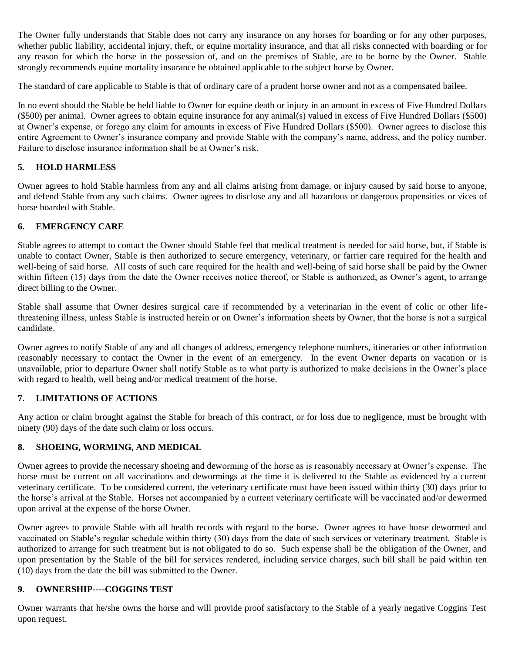The Owner fully understands that Stable does not carry any insurance on any horses for boarding or for any other purposes, whether public liability, accidental injury, theft, or equine mortality insurance, and that all risks connected with boarding or for any reason for which the horse in the possession of, and on the premises of Stable, are to be borne by the Owner. Stable strongly recommends equine mortality insurance be obtained applicable to the subject horse by Owner.

The standard of care applicable to Stable is that of ordinary care of a prudent horse owner and not as a compensated bailee.

In no event should the Stable be held liable to Owner for equine death or injury in an amount in excess of Five Hundred Dollars (\$500) per animal. Owner agrees to obtain equine insurance for any animal(s) valued in excess of Five Hundred Dollars (\$500) at Owner's expense, or forego any claim for amounts in excess of Five Hundred Dollars (\$500). Owner agrees to disclose this entire Agreement to Owner's insurance company and provide Stable with the company's name, address, and the policy number. Failure to disclose insurance information shall be at Owner's risk.

## **5. HOLD HARMLESS**

Owner agrees to hold Stable harmless from any and all claims arising from damage, or injury caused by said horse to anyone, and defend Stable from any such claims. Owner agrees to disclose any and all hazardous or dangerous propensities or vices of horse boarded with Stable.

## **6. EMERGENCY CARE**

Stable agrees to attempt to contact the Owner should Stable feel that medical treatment is needed for said horse, but, if Stable is unable to contact Owner, Stable is then authorized to secure emergency, veterinary, or farrier care required for the health and well-being of said horse. All costs of such care required for the health and well-being of said horse shall be paid by the Owner within fifteen (15) days from the date the Owner receives notice thereof, or Stable is authorized, as Owner's agent, to arrange direct billing to the Owner.

Stable shall assume that Owner desires surgical care if recommended by a veterinarian in the event of colic or other lifethreatening illness, unless Stable is instructed herein or on Owner's information sheets by Owner, that the horse is not a surgical candidate.

Owner agrees to notify Stable of any and all changes of address, emergency telephone numbers, itineraries or other information reasonably necessary to contact the Owner in the event of an emergency. In the event Owner departs on vacation or is unavailable, prior to departure Owner shall notify Stable as to what party is authorized to make decisions in the Owner's place with regard to health, well being and/or medical treatment of the horse.

#### **7. LIMITATIONS OF ACTIONS**

Any action or claim brought against the Stable for breach of this contract, or for loss due to negligence, must be brought with ninety (90) days of the date such claim or loss occurs.

## **8. SHOEING, WORMING, AND MEDICAL**

Owner agrees to provide the necessary shoeing and deworming of the horse as is reasonably necessary at Owner's expense. The horse must be current on all vaccinations and dewormings at the time it is delivered to the Stable as evidenced by a current veterinary certificate. To be considered current, the veterinary certificate must have been issued within thirty (30) days prior to the horse's arrival at the Stable. Horses not accompanied by a current veterinary certificate will be vaccinated and/or dewormed upon arrival at the expense of the horse Owner.

Owner agrees to provide Stable with all health records with regard to the horse. Owner agrees to have horse dewormed and vaccinated on Stable's regular schedule within thirty (30) days from the date of such services or veterinary treatment. Stable is authorized to arrange for such treatment but is not obligated to do so. Such expense shall be the obligation of the Owner, and upon presentation by the Stable of the bill for services rendered, including service charges, such bill shall be paid within ten (10) days from the date the bill was submitted to the Owner.

#### **9. OWNERSHIP----COGGINS TEST**

Owner warrants that he/she owns the horse and will provide proof satisfactory to the Stable of a yearly negative Coggins Test upon request.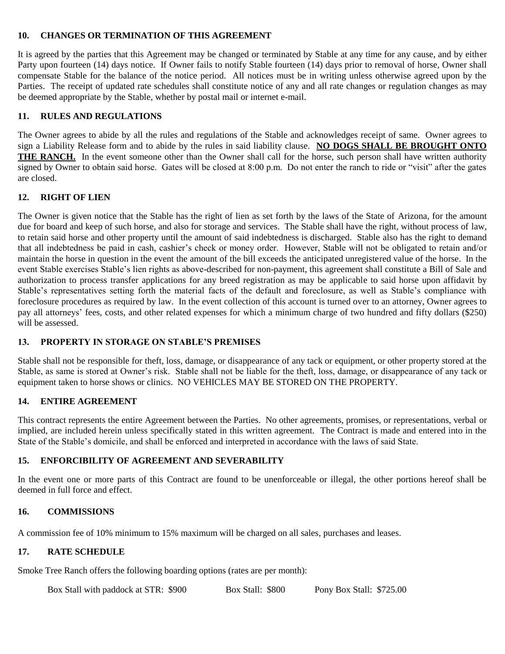### **10. CHANGES OR TERMINATION OF THIS AGREEMENT**

It is agreed by the parties that this Agreement may be changed or terminated by Stable at any time for any cause, and by either Party upon fourteen (14) days notice. If Owner fails to notify Stable fourteen (14) days prior to removal of horse, Owner shall compensate Stable for the balance of the notice period. All notices must be in writing unless otherwise agreed upon by the Parties. The receipt of updated rate schedules shall constitute notice of any and all rate changes or regulation changes as may be deemed appropriate by the Stable, whether by postal mail or internet e-mail.

# **11. RULES AND REGULATIONS**

The Owner agrees to abide by all the rules and regulations of the Stable and acknowledges receipt of same. Owner agrees to sign a Liability Release form and to abide by the rules in said liability clause. **NO DOGS SHALL BE BROUGHT ONTO THE RANCH.** In the event someone other than the Owner shall call for the horse, such person shall have written authority signed by Owner to obtain said horse. Gates will be closed at 8:00 p.m. Do not enter the ranch to ride or "visit" after the gates are closed.

# **12. RIGHT OF LIEN**

The Owner is given notice that the Stable has the right of lien as set forth by the laws of the State of Arizona, for the amount due for board and keep of such horse, and also for storage and services. The Stable shall have the right, without process of law, to retain said horse and other property until the amount of said indebtedness is discharged. Stable also has the right to demand that all indebtedness be paid in cash, cashier's check or money order. However, Stable will not be obligated to retain and/or maintain the horse in question in the event the amount of the bill exceeds the anticipated unregistered value of the horse. In the event Stable exercises Stable's lien rights as above-described for non-payment, this agreement shall constitute a Bill of Sale and authorization to process transfer applications for any breed registration as may be applicable to said horse upon affidavit by Stable's representatives setting forth the material facts of the default and foreclosure, as well as Stable's compliance with foreclosure procedures as required by law. In the event collection of this account is turned over to an attorney, Owner agrees to pay all attorneys' fees, costs, and other related expenses for which a minimum charge of two hundred and fifty dollars (\$250) will be assessed.

## **13. PROPERTY IN STORAGE ON STABLE'S PREMISES**

Stable shall not be responsible for theft, loss, damage, or disappearance of any tack or equipment, or other property stored at the Stable, as same is stored at Owner's risk. Stable shall not be liable for the theft, loss, damage, or disappearance of any tack or equipment taken to horse shows or clinics. NO VEHICLES MAY BE STORED ON THE PROPERTY.

## **14. ENTIRE AGREEMENT**

This contract represents the entire Agreement between the Parties. No other agreements, promises, or representations, verbal or implied, are included herein unless specifically stated in this written agreement. The Contract is made and entered into in the State of the Stable's domicile, and shall be enforced and interpreted in accordance with the laws of said State.

# **15. ENFORCIBILITY OF AGREEMENT AND SEVERABILITY**

In the event one or more parts of this Contract are found to be unenforceable or illegal, the other portions hereof shall be deemed in full force and effect.

## **16. COMMISSIONS**

A commission fee of 10% minimum to 15% maximum will be charged on all sales, purchases and leases.

# **17. RATE SCHEDULE**

Smoke Tree Ranch offers the following boarding options (rates are per month):

Box Stall with paddock at STR: \$900 Box Stall: \$800 Pony Box Stall: \$725.00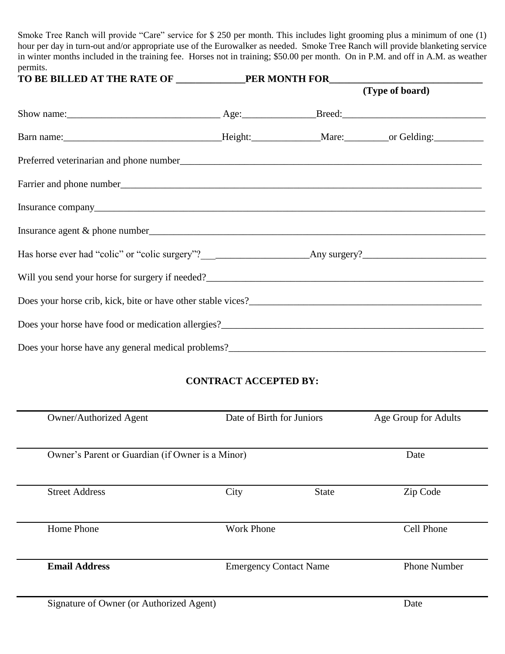Smoke Tree Ranch will provide "Care" service for \$ 250 per month. This includes light grooming plus a minimum of one (1) hour per day in turn-out and/or appropriate use of the Eurowalker as needed. Smoke Tree Ranch will provide blanketing service in winter months included in the training fee. Horses not in training; \$50.00 per month. On in P.M. and off in A.M. as weather permits.

|                                                 |  | (Type of board) |  |
|-------------------------------------------------|--|-----------------|--|
|                                                 |  |                 |  |
|                                                 |  |                 |  |
|                                                 |  |                 |  |
|                                                 |  |                 |  |
|                                                 |  |                 |  |
|                                                 |  |                 |  |
|                                                 |  |                 |  |
| Will you send your horse for surgery if needed? |  |                 |  |
|                                                 |  |                 |  |
|                                                 |  |                 |  |
|                                                 |  |                 |  |

# **CONTRACT ACCEPTED BY:**

| <b>Owner/Authorized Agent</b>                    | Date of Birth for Juniors |                               | Age Group for Adults |  |
|--------------------------------------------------|---------------------------|-------------------------------|----------------------|--|
|                                                  |                           |                               |                      |  |
| Owner's Parent or Guardian (if Owner is a Minor) |                           |                               | Date                 |  |
| <b>Street Address</b>                            | City                      | <b>State</b>                  | Zip Code             |  |
| Home Phone                                       | <b>Work Phone</b>         |                               | Cell Phone           |  |
| <b>Email Address</b>                             |                           | <b>Emergency Contact Name</b> |                      |  |